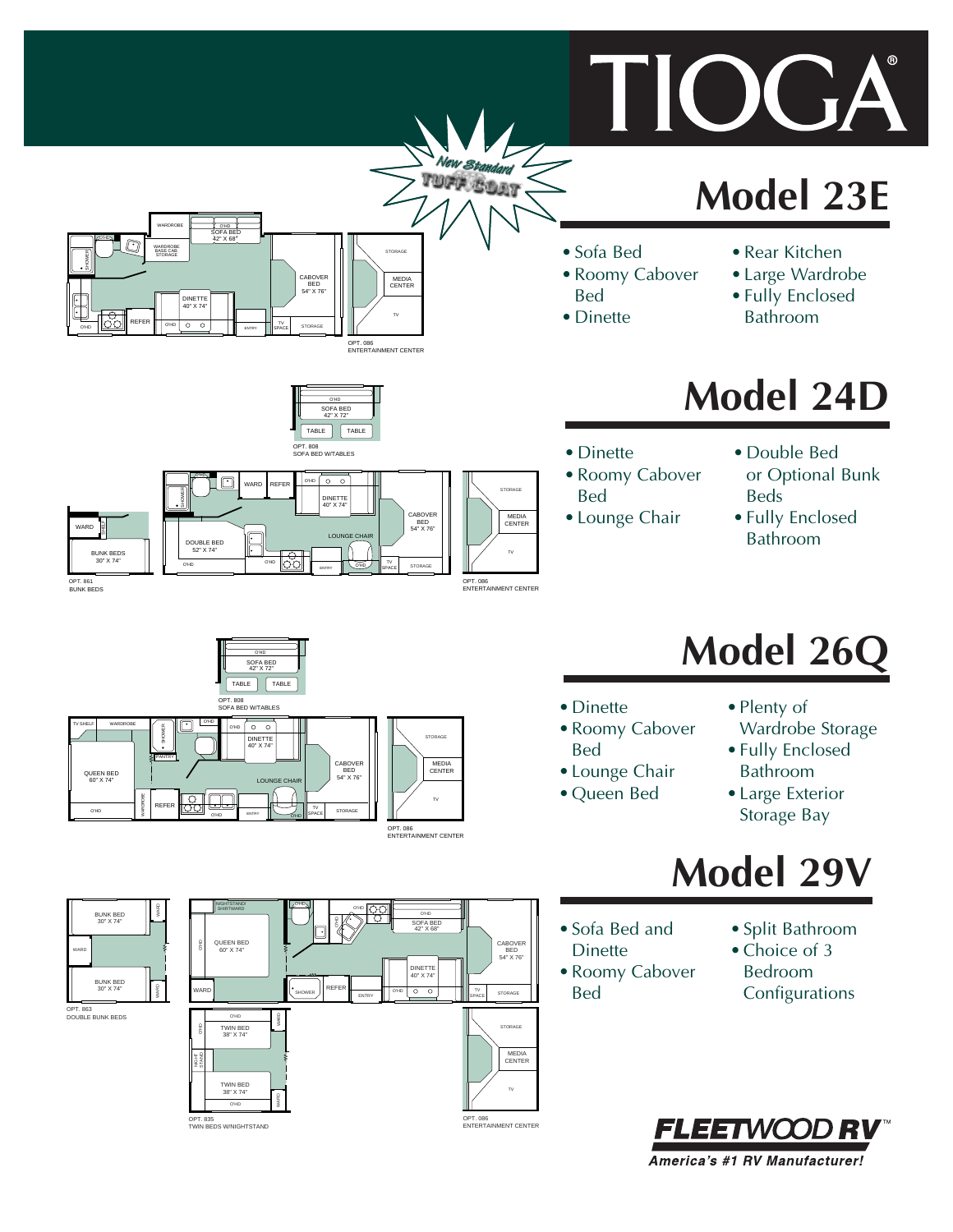# **Model 23E**

OG

- Sofa Bed
- Roomy Cabover Bed
- Dinette
- Rear Kitchen
- Large Wardrobe • Fully Enclosed Bathroom

# **Model 24D**

- Dinette
- Roomy Cabover Bed
- Lounge Chair
- Double Bed or Optional Bunk
- Beds • Fully Enclosed Bathroom

# **Model 26Q**

- Dinette
- Roomy Cabover Bed
- Lounge Chair
- Queen Bed
- Plenty of
- Wardrobe Storage • Fully Enclosed
- Bathroom
- Large Exterior Storage Bay

# **Model 29V**

- Sofa Bed and Dinette
- Roomy Cabover Bed
- Split Bathroom
- Choice of 3 Bedroom Configurations















O'HD



SOFA BED 42" X 68"

DINETTE 40" X 74"

 $\overline{\circ}$ 

O'HD

O'HD

STORAGE

MEDIA CENTER

STORAGE

STORAGE

MEDIA CENTER

TV

OPT. 086 ENTERTAINMENT CENTER

TV SPACE CABOVER BED 54" X 76"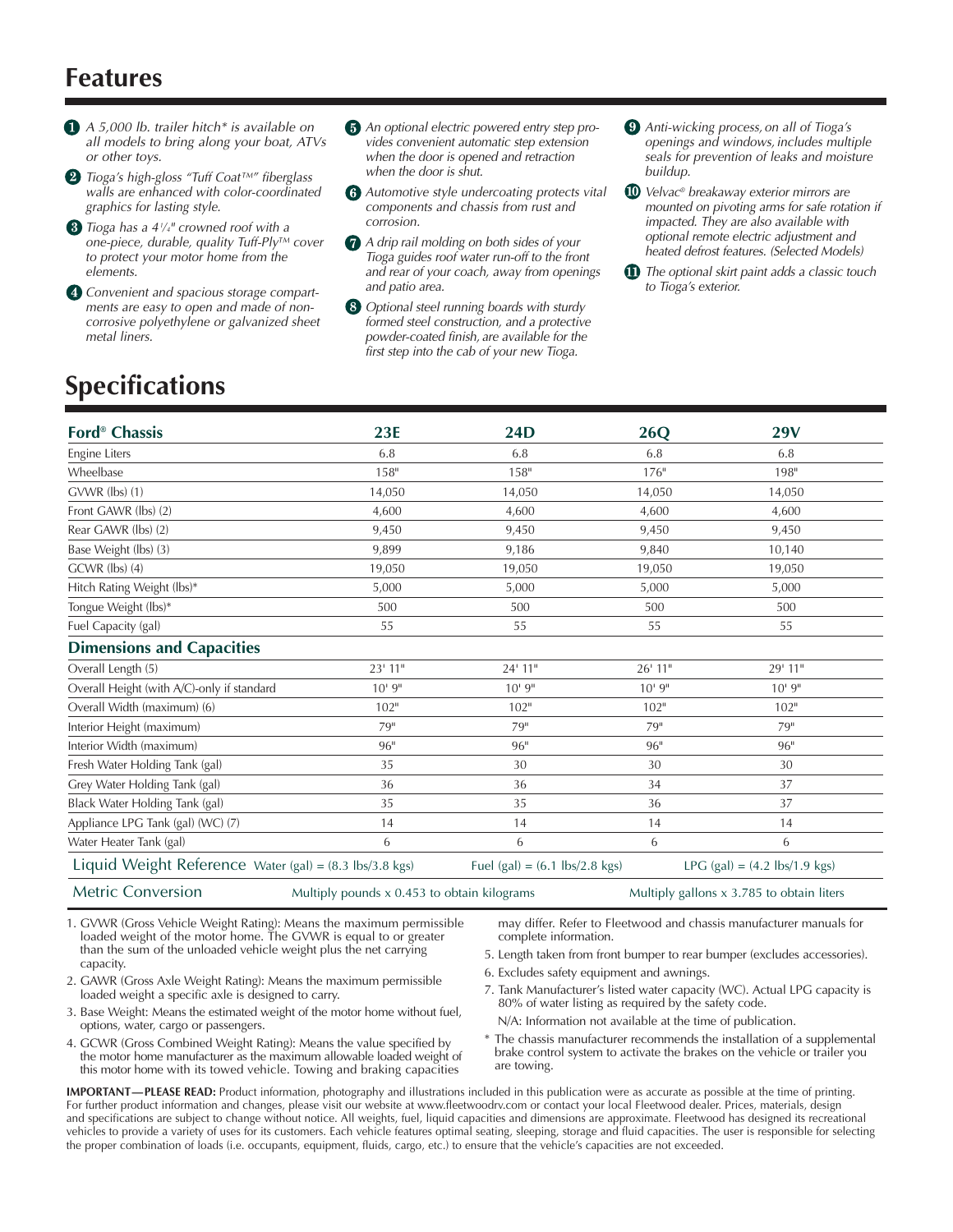### **Features**

- *A 5,000 lb. trailer hitch\* is available on all models to bring along your boat, ATVs or other toys.*
- *Tioga's high-gloss "Tuff Coat™" fiberglass walls are enhanced with color-coordinated graphics for lasting style.*
- *Tioga has a 41 ⁄ 4" crowned roof with a one-piece, durable, quality Tuff-Ply™ cover to protect your motor home from the elements.*
- *Convenient and spacious storage compartments are easy to open and made of noncorrosive polyethylene or galvanized sheet metal liners.*
- *An optional electric powered entry step provides convenient automatic step extension when the door is opened and retraction when the door is shut.*
- *Automotive style undercoating protects vital components and chassis from rust and corrosion.*
- *A drip rail molding on both sides of your Tioga guides roof water run-off to the front and rear of your coach, away from openings and patio area.*
- *Optional steel running boards with sturdy formed steel construction, and a protective powder-coated finish, are available for the first step into the cab of your new Tioga.*
- *Anti-wicking process, on all of Tioga's openings and windows, includes multiple seals for prevention of leaks and moisture buildup.*
- *Velvac® breakaway exterior mirrors are mounted on pivoting arms for safe rotation if impacted. They are also available with optional remote electric adjustment and heated defrost features. (Selected Models)*
- *The optional skirt paint adds a classic touch to Tioga's exterior.*

### **Specifications**

| <b>Ford<sup>®</sup></b> Chassis                         | <b>23E</b> | <b>24D</b>                                                                                          | 26Q     | <b>29V</b>                                |  |
|---------------------------------------------------------|------------|-----------------------------------------------------------------------------------------------------|---------|-------------------------------------------|--|
| Engine Liters                                           | 6.8        | 6.8                                                                                                 | 6.8     | 6.8                                       |  |
| Wheelbase                                               | 158"       | 158"                                                                                                | 176"    | 198"                                      |  |
| $GVWR$ (lbs) $(1)$                                      | 14,050     | 14,050                                                                                              | 14,050  | 14,050                                    |  |
| Front GAWR (lbs) (2)                                    | 4,600      | 4.600                                                                                               | 4,600   | 4,600                                     |  |
| Rear GAWR (lbs) (2)                                     | 9,450      | 9,450                                                                                               | 9,450   | 9,450                                     |  |
| Base Weight (lbs) (3)                                   | 9,899      | 9,186                                                                                               | 9.840   | 10,140                                    |  |
| GCWR (lbs) (4)                                          | 19,050     | 19,050                                                                                              | 19,050  | 19,050                                    |  |
| Hitch Rating Weight (lbs)*                              | 5,000      | 5,000                                                                                               | 5,000   | 5,000                                     |  |
| Tongue Weight (lbs)*                                    | 500        | 500                                                                                                 | 500     | 500                                       |  |
| Fuel Capacity (gal)                                     | 55         | 55                                                                                                  | 55      | 55                                        |  |
| <b>Dimensions and Capacities</b>                        |            |                                                                                                     |         |                                           |  |
| Overall Length (5)                                      | $23'$ 11"  | 24' 11"                                                                                             | 26' 11" | 29' 11"                                   |  |
| Overall Height (with A/C)-only if standard              | 10'9''     | 10'9''                                                                                              | 10'9''  | 10'9''                                    |  |
| Overall Width (maximum) (6)                             | 102"       | 102"                                                                                                | 102"    | 102"                                      |  |
| Interior Height (maximum)                               | 79"        | 79"                                                                                                 | 79"     | 79"                                       |  |
| Interior Width (maximum)                                | 96"        | 96"                                                                                                 | 96"     | 96"                                       |  |
| Fresh Water Holding Tank (gal)                          | 35         | 30                                                                                                  | 30      | 30                                        |  |
| Grey Water Holding Tank (gal)                           | 36         | 36                                                                                                  | 34      | 37                                        |  |
| Black Water Holding Tank (gal)                          | 35         | 35                                                                                                  | 36      | 37                                        |  |
| Appliance LPG Tank (gal) (WC) (7)                       | 14         | 14                                                                                                  | 14      | 14                                        |  |
| Water Heater Tank (gal)                                 | 6          | 6                                                                                                   | 6       | 6                                         |  |
| Liquid Weight Reference Water (gal) = (8.3 lbs/3.8 kgs) |            | Fuel (gal) = $(6.1 \text{ lbs}/2.8 \text{ kgs})$<br>LPG $(gal) = (4.2 \text{ lbs}/1.9 \text{ kgs})$ |         |                                           |  |
| <b>Metric Conversion</b>                                |            | Multiply pounds x 0.453 to obtain kilograms                                                         |         | Multiply gallons x 3.785 to obtain liters |  |

- 1. GVWR (Gross Vehicle Weight Rating): Means the maximum permissible loaded weight of the motor home. The GVWR is equal to or greater than the sum of the unloaded vehicle weight plus the net carrying capacity.
- may differ. Refer to Fleetwood and chassis manufacturer manuals for complete information. 5. Length taken from front bumper to rear bumper (excludes accessories).
	- 6. Excludes safety equipment and awnings.
- 2. GAWR (Gross Axle Weight Rating): Means the maximum permissible loaded weight a specific axle is designed to carry.
- 3. Base Weight: Means the estimated weight of the motor home without fuel, options, water, cargo or passengers.
- 4. GCWR (Gross Combined Weight Rating): Means the value specified by the motor home manufacturer as the maximum allowable loaded weight of this motor home with its towed vehicle. Towing and braking capacities
- 7. Tank Manufacturer's listed water capacity (WC). Actual LPG capacity is 80% of water listing as required by the safety code.
- N/A: Information not available at the time of publication. \* The chassis manufacturer recommends the installation of a supplemental brake control system to activate the brakes on the vehicle or trailer you
- **IMPORTANT—PLEASE READ:** Product information, photography and illustrations included in this publication were as accurate as possible at the time of printing. For further product information and changes, please visit our website at www.fleetwoodrv.com or contact your local Fleetwood dealer. Prices, materials, design and specifications are subject to change without notice. All weights, fuel, liquid capacities and dimensions are approximate. Fleetwood has designed its recreational vehicles to provide a variety of uses for its customers. Each vehicle features optimal seating, sleeping, storage and fluid capacities. The user is responsible for selecting the proper combination of loads (i.e. occupants, equipment, fluids, cargo, etc.) to ensure that the vehicle's capacities are not exceeded.

are towing.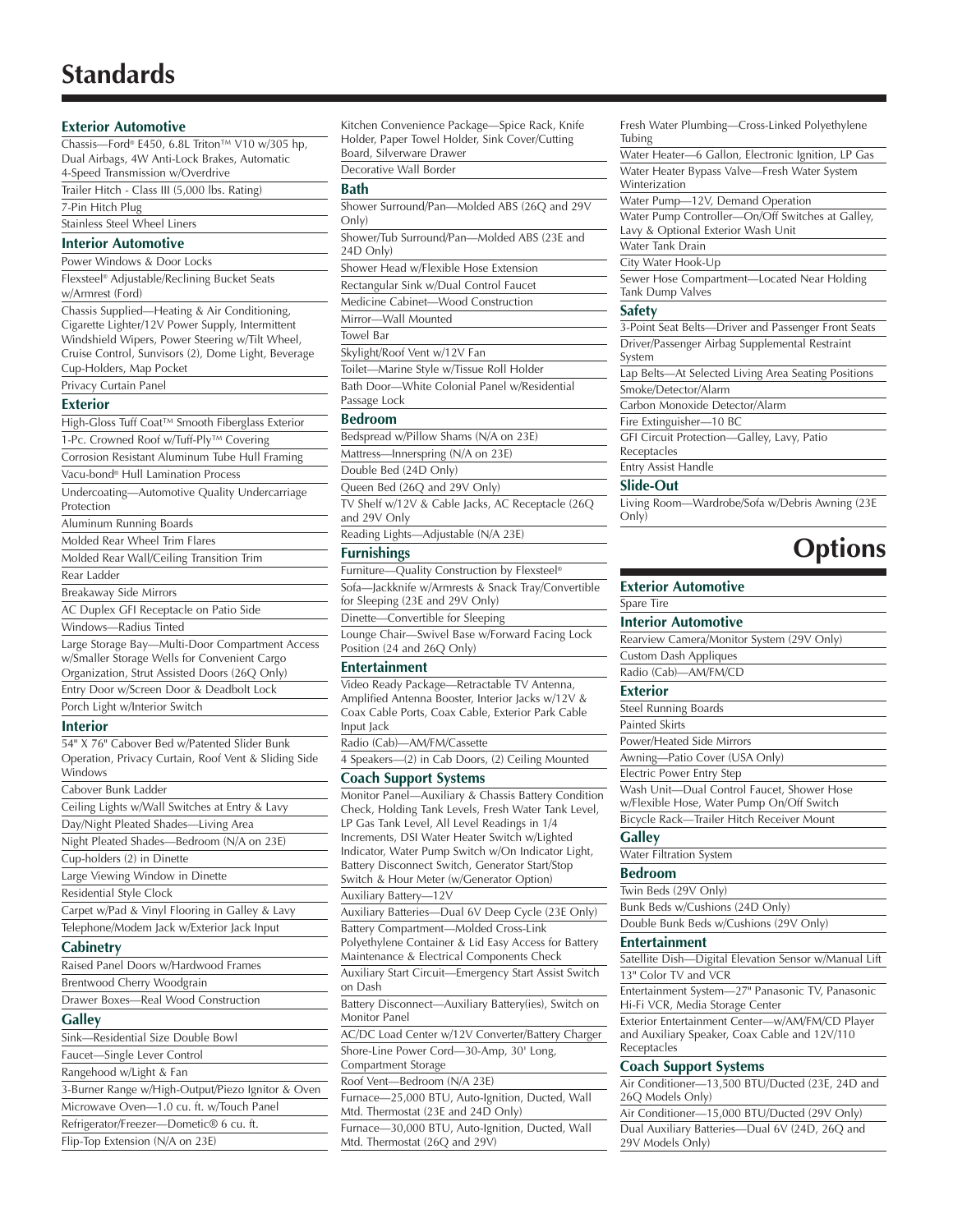## **Standards**

| <b>Exterior Automotive</b>                                      |
|-----------------------------------------------------------------|
| Chassis—Ford® E450, 6.8L Triton™ V10 w/305 hp,                  |
| Dual Airbags, 4W Anti-Lock Brakes, Automatic                    |
| 4-Speed Transmission w/Overdrive                                |
| Trailer Hitch - Class III (5,000 lbs. Rating)                   |
| 7-Pin Hitch Plug                                                |
| Stainless Steel Wheel Liners                                    |
| <b>Interior Automotive</b>                                      |
| Power Windows & Door Locks                                      |
| Flexsteel <sup>®</sup> Adjustable/Reclining Bucket Seats        |
| w/Armrest (Ford)                                                |
| Chassis Supplied—Heating & Air Conditioning,                    |
| Cigarette Lighter/12V Power Supply, Intermittent                |
| Windshield Wipers, Power Steering w/Tilt Wheel,                 |
| Cruise Control, Sunvisors (2), Dome Light, Beverage             |
| Cup-Holders, Map Pocket                                         |
| Privacy Curtain Panel                                           |
| Exterior                                                        |
| High-Gloss Tuff Coat™ Smooth Fiberglass Exterior                |
| 1-Pc. Crowned Roof w/Tuff-Ply™ Covering                         |
| Corrosion Resistant Aluminum Tube Hull Framing                  |
| Vacu-bond <sup>®</sup> Hull Lamination Process                  |
| Undercoating-Automotive Quality Undercarriage<br>Protection     |
| Aluminum Running Boards                                         |
| Molded Rear Wheel Trim Flares                                   |
| Molded Rear Wall/Ceiling Transition Trim                        |
| Rear Ladder                                                     |
| Breakaway Side Mirrors                                          |
| AC Duplex GFI Receptacle on Patio Side                          |
| Windows-Radius Tinted                                           |
| Large Storage Bay-Multi-Door Compartment Access                 |
| w/Smaller Storage Wells for Convenient Cargo                    |
| Organization, Strut Assisted Doors (26Q Only)                   |
| Entry Door w/Screen Door & Deadbolt Lock                        |
| Porch Light w/Interior Switch                                   |
| Interior                                                        |
| 54" X 76" Cabover Bed w/Patented Slider Bunk                    |
| Operation, Privacy Curtain, Roof Vent & Sliding Side<br>Windows |
| Cabover Bunk Ladder                                             |
| Ceiling Lights w/Wall Switches at Entry & Lavy                  |
| Day/Night Pleated Shades-Living Area                            |
| Night Pleated Shades—Bedroom (N/A on 23E)                       |
| Cup-holders (2) in Dinette                                      |
| Large Viewing Window in Dinette                                 |
| Residential Style Clock                                         |
| Carpet w/Pad & Vinyl Flooring in Galley & Lavy                  |
| Telephone/Modem Jack w/Exterior Jack Input                      |
| Cabinetry                                                       |
| Raised Panel Doors w/Hardwood Frames                            |
| Brentwood Cherry Woodgrain                                      |
| Drawer Boxes—Real Wood Construction                             |
| Galley                                                          |
| Sink—Residential Size Double Bowl                               |
| Faucet-Single Lever Control                                     |
| Rangehood w/Light & Fan                                         |
| 3-Burner Range w/High-Output/Piezo Ignitor & Oven               |
| Microwave Oven—1.0 cu. ft. w/Touch Panel                        |
| Refrigerator/Freezer—Dometic® 6 cu. ft.                         |
| Flip-Top Extension (N/A on 23E)                                 |
|                                                                 |

| Holder, Paper Towel Holder, Sink Cover/Cutting                                                         |
|--------------------------------------------------------------------------------------------------------|
| Board, Silverware Drawer<br>Decorative Wall Border                                                     |
|                                                                                                        |
| Bath                                                                                                   |
| Shower Surround/Pan-Molded ABS (26Q and 29V<br>Only)                                                   |
| Shower/Tub Surround/Pan-Molded ABS (23E and                                                            |
| 24D Only)                                                                                              |
| Shower Head w/Flexible Hose Extension                                                                  |
| Rectangular Sink w/Dual Control Faucet                                                                 |
| Medicine Cabinet-Wood Construction                                                                     |
| Mirror-Wall Mounted                                                                                    |
| <b>Towel Bar</b>                                                                                       |
| Skylight/Roof Vent w/12V Fan                                                                           |
| Toilet-Marine Style w/Tissue Roll Holder                                                               |
| Bath Door-White Colonial Panel w/Residential                                                           |
| Passage Lock                                                                                           |
| <b>Bedroom</b>                                                                                         |
| Bedspread w/Pillow Shams (N/A on 23E)                                                                  |
| Mattress-Innerspring (N/A on 23E)                                                                      |
| Double Bed (24D Only)<br>Queen Bed (26Q and 29V Only)                                                  |
| TV Shelf w/12V & Cable Jacks, AC Receptacle (26Q                                                       |
| and 29V Only                                                                                           |
| Reading Lights-Adjustable (N/A 23E)                                                                    |
| <b>Furnishings</b>                                                                                     |
| Furniture-Quality Construction by Flexsteel®                                                           |
| Sofa-Jackknife w/Armrests & Snack Tray/Convertible                                                     |
| for Sleeping (23E and 29V Only)                                                                        |
| Dinette-Convertible for Sleeping                                                                       |
| Lounge Chair-Swivel Base w/Forward Facing Lock                                                         |
| Position (24 and 26Q Only)                                                                             |
| <b>Entertainment</b>                                                                                   |
| Video Ready Package-Retractable TV Antenna,                                                            |
| Amplified Antenna Booster, Interior Jacks w/12V &<br>Coax Cable Ports, Coax Cable, Exterior Park Cable |
| Input Jack                                                                                             |
| Radio (Cab)-AM/FM/Cassette                                                                             |
| 4 Speakers-(2) in Cab Doors, (2) Ceiling Mounted                                                       |
| <b>Coach Support Systems</b>                                                                           |
| Monitor Panel-Auxiliary & Chassis Battery Condition                                                    |
| Check, Holding Tank Levels, Fresh Water Tank Level,                                                    |
| LP Gas Tank Level, All Level Readings in 1/4                                                           |
| Increments, DSI Water Heater Switch w/Lighted<br>Indicator, Water Pump Switch w/On Indicator Light,    |
| Battery Disconnect Switch, Generator Start/Stop                                                        |
| Switch & Hour Meter (w/Generator Option)                                                               |
| Auxiliary Battery-12V                                                                                  |
| Auxiliary Batteries-Dual 6V Deep Cycle (23E Only)                                                      |
| Battery Compartment-Molded Cross-Link                                                                  |
| Polyethylene Container & Lid Easy Access for Battery<br>Maintenance & Electrical Components Check      |
| Auxiliary Start Circuit-Emergency Start Assist Switch                                                  |
| on Dash                                                                                                |
| Battery Disconnect-Auxiliary Battery(ies), Switch on                                                   |
| <b>Monitor Panel</b>                                                                                   |
| AC/DC Load Center w/12V Converter/Battery Charger                                                      |
| Shore-Line Power Cord-30-Amp, 30' Long,                                                                |
| Compartment Storage                                                                                    |
| Roof Vent-Bedroom (N/A 23E)                                                                            |
| Furnace-25,000 BTU, Auto-Ignition, Ducted, Wall<br>Mtd. Thermostat (23E and 24D Only)                  |
| Furnace-30,000 BTU, Auto-Ignition, Ducted, Wall                                                        |
| Mtd. Thermostat (26Q and 29V)                                                                          |

Kitchen Convenience Package—Spice Rack, Knife

Fresh Water Plumbing—Cross-Linked Polyethylene Tubing Water Heater—6 Gallon, Electronic Ignition, LP Gas Water Heater Bypass Valve—Fresh Water System Winterization Water Pump—12V, Demand Operation Water Pump Controller—On/Off Switches at Galley, Lavy & Optional Exterior Wash Unit Water Tank Drain City Water Hook-Up Sewer Hose Compartment—Located Near Holding Tank Dump Valves **Safety** 3-Point Seat Belts—Driver and Passenger Front Seats Driver/Passenger Airbag Supplemental Restraint System Lap Belts—At Selected Living Area Seating Positions

Smoke/Detector/Alarm Carbon Monoxide Detector/Alarm Fire Extinguisher—10 BC GFI Circuit Protection—Galley, Lavy, Patio Receptacles Entry Assist Handle

### **Slide-Out**

Living Room—Wardrobe/Sofa w/Debris Awning (23E Only)

## **Options**

| tible           | <b>Exterior Automotive</b>                                                                                      |
|-----------------|-----------------------------------------------------------------------------------------------------------------|
|                 | Spare Tire                                                                                                      |
|                 | <b>Interior Automotive</b>                                                                                      |
| <sub>ck</sub>   | Rearview Camera/Monitor System (29V Only)                                                                       |
|                 | <b>Custom Dash Appliques</b>                                                                                    |
|                 | Radio (Cab)-AM/FM/CD                                                                                            |
| &<br>le         | <b>Exterior</b>                                                                                                 |
|                 | Steel Running Boards                                                                                            |
|                 | <b>Painted Skirts</b>                                                                                           |
|                 | Power/Heated Side Mirrors                                                                                       |
| ed              | Awning-Patio Cover (USA Only)                                                                                   |
|                 | Electric Power Entry Step                                                                                       |
| dition<br>evel, | Wash Unit-Dual Control Faucet, Shower Hose<br>w/Flexible Hose, Water Pump On/Off Switch                         |
|                 | Bicycle Rack-Trailer Hitch Receiver Mount                                                                       |
|                 | <b>Galley</b>                                                                                                   |
| şht,            | Water Filtration System                                                                                         |
|                 | <b>Bedroom</b>                                                                                                  |
|                 | Twin Beds (29V Only)                                                                                            |
| nly)            | Bunk Beds w/Cushions (24D Only)                                                                                 |
|                 | Double Bunk Beds w/Cushions (29V Only)                                                                          |
| ttery           | <b>Entertainment</b>                                                                                            |
|                 | Satellite Dish-Digital Elevation Sensor w/Manual Lift                                                           |
| vitch           | 13" Color TV and VCR                                                                                            |
| h on            | Entertainment System-27" Panasonic TV, Panasonic<br>Hi-Fi VCR, Media Storage Center                             |
| arger           | Exterior Entertainment Center-w/AM/FM/CD Player<br>and Auxiliary Speaker, Coax Cable and 12V/110<br>Receptacles |
|                 | <b>Coach Support Systems</b>                                                                                    |
|                 | Air Conditioner-13,500 BTU/Ducted (23E, 24D and                                                                 |
| (11)            | $($ $\cap$ Models $\cap$ nli $\cup$                                                                             |

Air Conditioner—13,500 BTU/Ducted (23E, 24D and 26Q Models Only)

Air Conditioner—15,000 BTU/Ducted (29V Only) Dual Auxiliary Batteries—Dual 6V (24D, 26Q and 29V Models Only)